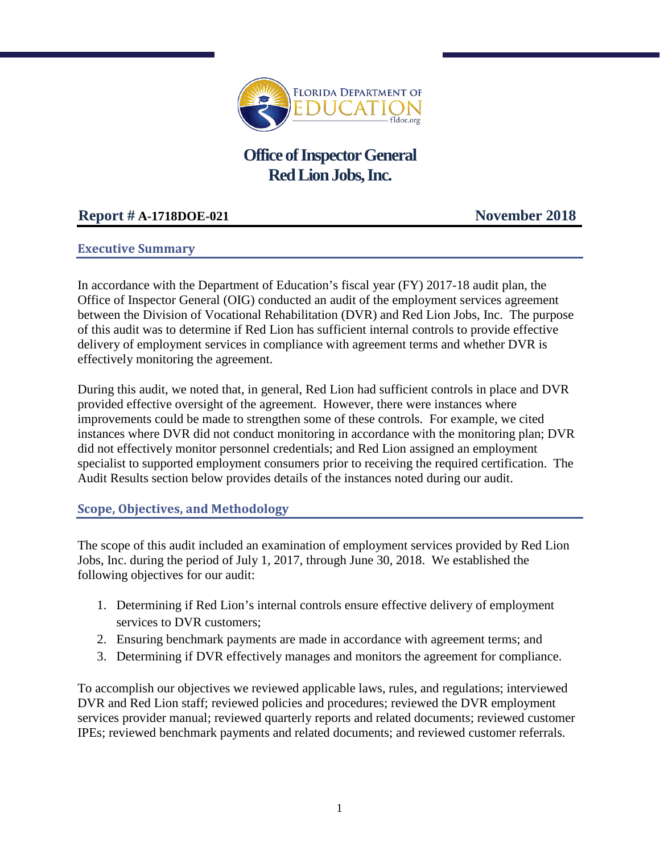

# **Office of Inspector General Red Lion Jobs, Inc.**

## **Report # A-1718DOE-021 November 2018**

## **Executive Summary**

In accordance with the Department of Education's fiscal year (FY) 2017-18 audit plan, the Office of Inspector General (OIG) conducted an audit of the employment services agreement between the Division of Vocational Rehabilitation (DVR) and Red Lion Jobs, Inc. The purpose of this audit was to determine if Red Lion has sufficient internal controls to provide effective delivery of employment services in compliance with agreement terms and whether DVR is effectively monitoring the agreement.

During this audit, we noted that, in general, Red Lion had sufficient controls in place and DVR provided effective oversight of the agreement. However, there were instances where improvements could be made to strengthen some of these controls. For example, we cited instances where DVR did not conduct monitoring in accordance with the monitoring plan; DVR did not effectively monitor personnel credentials; and Red Lion assigned an employment specialist to supported employment consumers prior to receiving the required certification. The Audit Results section below provides details of the instances noted during our audit.

## **Scope, Objectives, and Methodology**

The scope of this audit included an examination of employment services provided by Red Lion Jobs, Inc. during the period of July 1, 2017, through June 30, 2018. We established the following objectives for our audit:

- 1. Determining if Red Lion's internal controls ensure effective delivery of employment services to DVR customers;
- 2. Ensuring benchmark payments are made in accordance with agreement terms; and
- 3. Determining if DVR effectively manages and monitors the agreement for compliance.

To accomplish our objectives we reviewed applicable laws, rules, and regulations; interviewed DVR and Red Lion staff; reviewed policies and procedures; reviewed the DVR employment services provider manual; reviewed quarterly reports and related documents; reviewed customer IPEs; reviewed benchmark payments and related documents; and reviewed customer referrals.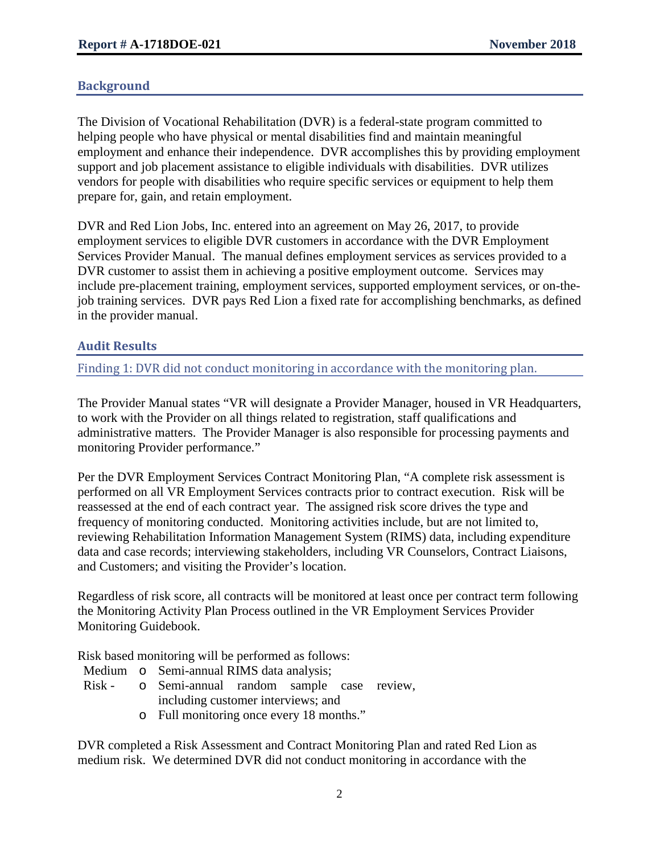#### **Background**

The Division of Vocational Rehabilitation (DVR) is a federal-state program committed to helping people who have physical or mental disabilities find and maintain meaningful employment and enhance their independence. DVR accomplishes this by providing employment support and job placement assistance to eligible individuals with disabilities. DVR utilizes vendors for people with disabilities who require specific services or equipment to help them prepare for, gain, and retain employment.

DVR and Red Lion Jobs, Inc. entered into an agreement on May 26, 2017, to provide employment services to eligible DVR customers in accordance with the DVR Employment Services Provider Manual. The manual defines employment services as services provided to a DVR customer to assist them in achieving a positive employment outcome. Services may include pre-placement training, employment services, supported employment services, or on-thejob training services. DVR pays Red Lion a fixed rate for accomplishing benchmarks, as defined in the provider manual.

#### **Audit Results**

Finding 1: DVR did not conduct monitoring in accordance with the monitoring plan.

The Provider Manual states "VR will designate a Provider Manager, housed in VR Headquarters, to work with the Provider on all things related to registration, staff qualifications and administrative matters. The Provider Manager is also responsible for processing payments and monitoring Provider performance."

Per the DVR Employment Services Contract Monitoring Plan, "A complete risk assessment is performed on all VR Employment Services contracts prior to contract execution. Risk will be reassessed at the end of each contract year. The assigned risk score drives the type and frequency of monitoring conducted. Monitoring activities include, but are not limited to, reviewing Rehabilitation Information Management System (RIMS) data, including expenditure data and case records; interviewing stakeholders, including VR Counselors, Contract Liaisons, and Customers; and visiting the Provider's location.

Regardless of risk score, all contracts will be monitored at least once per contract term following the Monitoring Activity Plan Process outlined in the VR Employment Services Provider Monitoring Guidebook.

Risk based monitoring will be performed as follows:

- Medium o Semi-annual RIMS data analysis;
- Risk o Semi-annual random sample case review, including customer interviews; and
	- o Full monitoring once every 18 months."

DVR completed a Risk Assessment and Contract Monitoring Plan and rated Red Lion as medium risk. We determined DVR did not conduct monitoring in accordance with the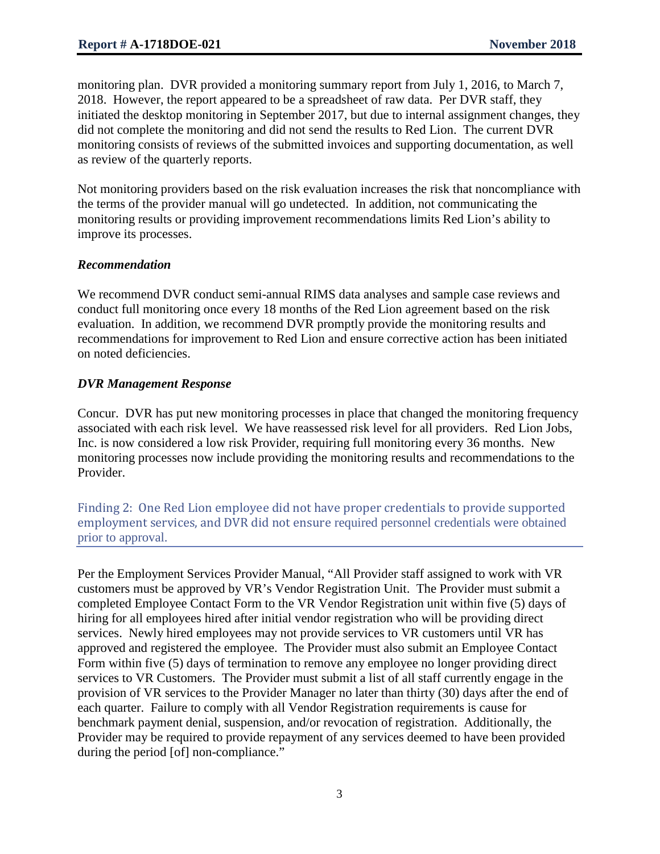monitoring plan. DVR provided a monitoring summary report from July 1, 2016, to March 7, 2018. However, the report appeared to be a spreadsheet of raw data. Per DVR staff, they initiated the desktop monitoring in September 2017, but due to internal assignment changes, they did not complete the monitoring and did not send the results to Red Lion. The current DVR monitoring consists of reviews of the submitted invoices and supporting documentation, as well as review of the quarterly reports.

Not monitoring providers based on the risk evaluation increases the risk that noncompliance with the terms of the provider manual will go undetected. In addition, not communicating the monitoring results or providing improvement recommendations limits Red Lion's ability to improve its processes.

#### *Recommendation*

We recommend DVR conduct semi-annual RIMS data analyses and sample case reviews and conduct full monitoring once every 18 months of the Red Lion agreement based on the risk evaluation. In addition, we recommend DVR promptly provide the monitoring results and recommendations for improvement to Red Lion and ensure corrective action has been initiated on noted deficiencies.

## *DVR Management Response*

Concur. DVR has put new monitoring processes in place that changed the monitoring frequency associated with each risk level. We have reassessed risk level for all providers. Red Lion Jobs, Inc. is now considered a low risk Provider, requiring full monitoring every 36 months. New monitoring processes now include providing the monitoring results and recommendations to the Provider.

Finding 2: One Red Lion employee did not have proper credentials to provide supported employment services, and DVR did not ensure required personnel credentials were obtained prior to approval.

Per the Employment Services Provider Manual, "All Provider staff assigned to work with VR customers must be approved by VR's Vendor Registration Unit. The Provider must submit a completed Employee Contact Form to the VR Vendor Registration unit within five (5) days of hiring for all employees hired after initial vendor registration who will be providing direct services. Newly hired employees may not provide services to VR customers until VR has approved and registered the employee. The Provider must also submit an Employee Contact Form within five (5) days of termination to remove any employee no longer providing direct services to VR Customers. The Provider must submit a list of all staff currently engage in the provision of VR services to the Provider Manager no later than thirty (30) days after the end of each quarter. Failure to comply with all Vendor Registration requirements is cause for benchmark payment denial, suspension, and/or revocation of registration. Additionally, the Provider may be required to provide repayment of any services deemed to have been provided during the period [of] non-compliance."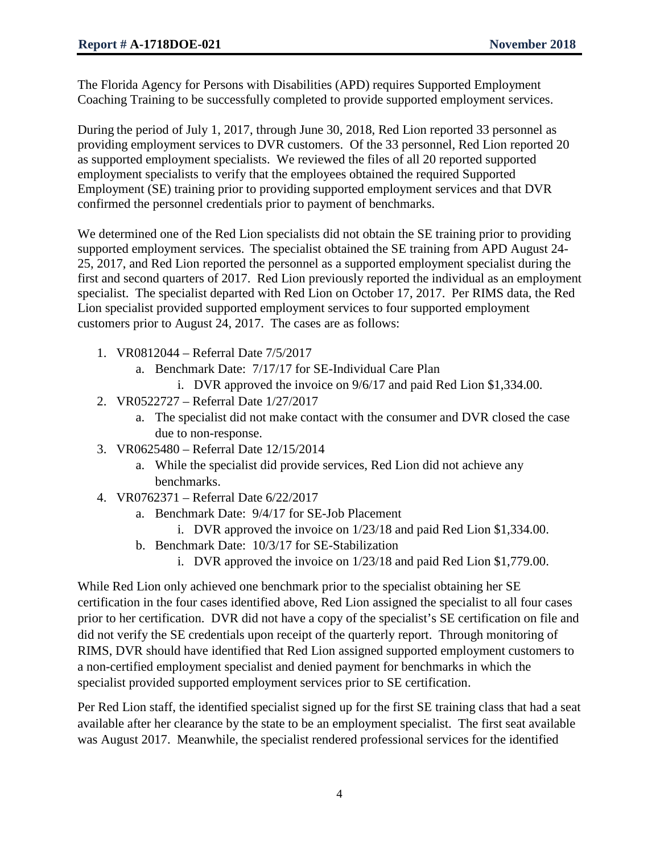The Florida Agency for Persons with Disabilities (APD) requires Supported Employment Coaching Training to be successfully completed to provide supported employment services.

During the period of July 1, 2017, through June 30, 2018, Red Lion reported 33 personnel as providing employment services to DVR customers. Of the 33 personnel, Red Lion reported 20 as supported employment specialists. We reviewed the files of all 20 reported supported employment specialists to verify that the employees obtained the required Supported Employment (SE) training prior to providing supported employment services and that DVR confirmed the personnel credentials prior to payment of benchmarks.

We determined one of the Red Lion specialists did not obtain the SE training prior to providing supported employment services. The specialist obtained the SE training from APD August 24- 25, 2017, and Red Lion reported the personnel as a supported employment specialist during the first and second quarters of 2017. Red Lion previously reported the individual as an employment specialist. The specialist departed with Red Lion on October 17, 2017. Per RIMS data, the Red Lion specialist provided supported employment services to four supported employment customers prior to August 24, 2017. The cases are as follows:

- 1. VR0812044 Referral Date 7/5/2017
	- a. Benchmark Date: 7/17/17 for SE-Individual Care Plan
		- i. DVR approved the invoice on 9/6/17 and paid Red Lion \$1,334.00.
- 2. VR0522727 Referral Date 1/27/2017
	- a. The specialist did not make contact with the consumer and DVR closed the case due to non-response.
- 3. VR0625480 Referral Date 12/15/2014
	- a. While the specialist did provide services, Red Lion did not achieve any benchmarks.
- 4. VR0762371 Referral Date 6/22/2017
	- a. Benchmark Date: 9/4/17 for SE-Job Placement
		- i. DVR approved the invoice on 1/23/18 and paid Red Lion \$1,334.00.
	- b. Benchmark Date: 10/3/17 for SE-Stabilization
		- i. DVR approved the invoice on 1/23/18 and paid Red Lion \$1,779.00.

While Red Lion only achieved one benchmark prior to the specialist obtaining her SE certification in the four cases identified above, Red Lion assigned the specialist to all four cases prior to her certification. DVR did not have a copy of the specialist's SE certification on file and did not verify the SE credentials upon receipt of the quarterly report. Through monitoring of RIMS, DVR should have identified that Red Lion assigned supported employment customers to a non-certified employment specialist and denied payment for benchmarks in which the specialist provided supported employment services prior to SE certification.

Per Red Lion staff, the identified specialist signed up for the first SE training class that had a seat available after her clearance by the state to be an employment specialist. The first seat available was August 2017. Meanwhile, the specialist rendered professional services for the identified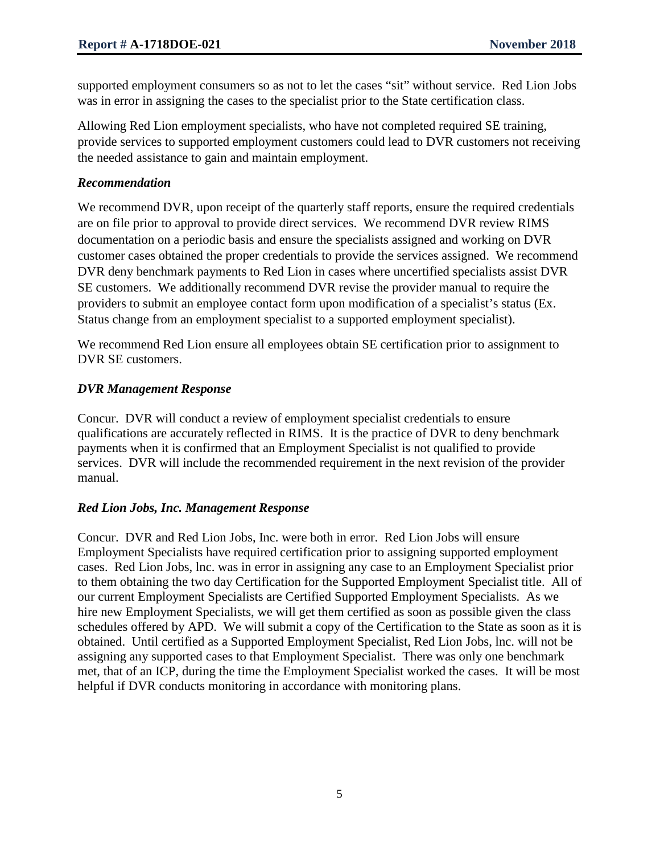supported employment consumers so as not to let the cases "sit" without service. Red Lion Jobs was in error in assigning the cases to the specialist prior to the State certification class.

Allowing Red Lion employment specialists, who have not completed required SE training, provide services to supported employment customers could lead to DVR customers not receiving the needed assistance to gain and maintain employment.

#### *Recommendation*

We recommend DVR, upon receipt of the quarterly staff reports, ensure the required credentials are on file prior to approval to provide direct services. We recommend DVR review RIMS documentation on a periodic basis and ensure the specialists assigned and working on DVR customer cases obtained the proper credentials to provide the services assigned. We recommend DVR deny benchmark payments to Red Lion in cases where uncertified specialists assist DVR SE customers. We additionally recommend DVR revise the provider manual to require the providers to submit an employee contact form upon modification of a specialist's status (Ex. Status change from an employment specialist to a supported employment specialist).

We recommend Red Lion ensure all employees obtain SE certification prior to assignment to DVR SE customers.

## *DVR Management Response*

Concur. DVR will conduct a review of employment specialist credentials to ensure qualifications are accurately reflected in RIMS. It is the practice of DVR to deny benchmark payments when it is confirmed that an Employment Specialist is not qualified to provide services. DVR will include the recommended requirement in the next revision of the provider manual.

## *Red Lion Jobs, Inc. Management Response*

Concur. DVR and Red Lion Jobs, Inc. were both in error. Red Lion Jobs will ensure Employment Specialists have required certification prior to assigning supported employment cases. Red Lion Jobs, lnc. was in error in assigning any case to an Employment Specialist prior to them obtaining the two day Certification for the Supported Employment Specialist title. All of our current Employment Specialists are Certified Supported Employment Specialists. As we hire new Employment Specialists, we will get them certified as soon as possible given the class schedules offered by APD. We will submit a copy of the Certification to the State as soon as it is obtained. Until certified as a Supported Employment Specialist, Red Lion Jobs, lnc. will not be assigning any supported cases to that Employment Specialist. There was only one benchmark met, that of an ICP, during the time the Employment Specialist worked the cases. It will be most helpful if DVR conducts monitoring in accordance with monitoring plans.